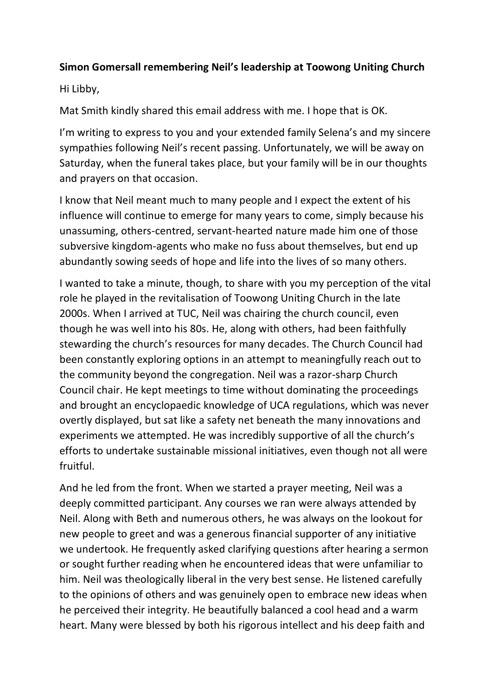## **Simon Gomersall remembering Neil's leadership at Toowong Uniting Church**

Hi Libby,

Mat Smith kindly shared this email address with me. I hope that is OK.

I'm writing to express to you and your extended family Selena's and my sincere sympathies following Neil's recent passing. Unfortunately, we will be away on Saturday, when the funeral takes place, but your family will be in our thoughts and prayers on that occasion.

I know that Neil meant much to many people and I expect the extent of his influence will continue to emerge for many years to come, simply because his unassuming, others-centred, servant-hearted nature made him one of those subversive kingdom-agents who make no fuss about themselves, but end up abundantly sowing seeds of hope and life into the lives of so many others.

I wanted to take a minute, though, to share with you my perception of the vital role he played in the revitalisation of Toowong Uniting Church in the late 2000s. When I arrived at TUC, Neil was chairing the church council, even though he was well into his 80s. He, along with others, had been faithfully stewarding the church's resources for many decades. The Church Council had been constantly exploring options in an attempt to meaningfully reach out to the community beyond the congregation. Neil was a razor-sharp Church Council chair. He kept meetings to time without dominating the proceedings and brought an encyclopaedic knowledge of UCA regulations, which was never overtly displayed, but sat like a safety net beneath the many innovations and experiments we attempted. He was incredibly supportive of all the church's efforts to undertake sustainable missional initiatives, even though not all were fruitful.

And he led from the front. When we started a prayer meeting, Neil was a deeply committed participant. Any courses we ran were always attended by Neil. Along with Beth and numerous others, he was always on the lookout for new people to greet and was a generous financial supporter of any initiative we undertook. He frequently asked clarifying questions after hearing a sermon or sought further reading when he encountered ideas that were unfamiliar to him. Neil was theologically liberal in the very best sense. He listened carefully to the opinions of others and was genuinely open to embrace new ideas when he perceived their integrity. He beautifully balanced a cool head and a warm heart. Many were blessed by both his rigorous intellect and his deep faith and